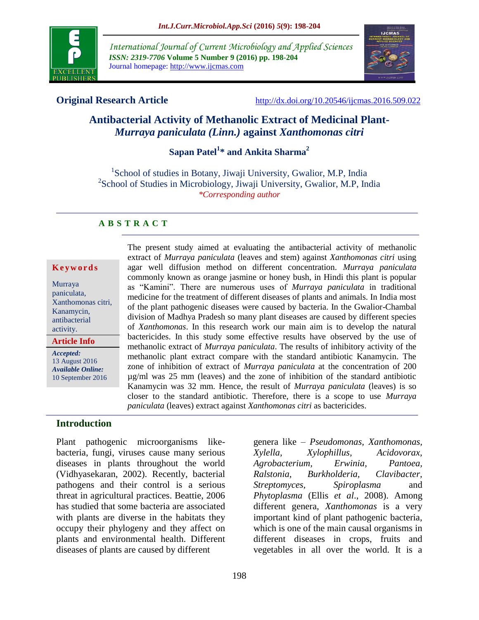

*International Journal of Current Microbiology and Applied Sciences ISSN: 2319-7706* **Volume 5 Number 9 (2016) pp. 198-204** Journal homepage: http://www.ijcmas.com



**Original Research Article** <http://dx.doi.org/10.20546/ijcmas.2016.509.022>

# **Antibacterial Activity of Methanolic Extract of Medicinal Plant-***Murraya paniculata (Linn.)* **against** *Xanthomonas citri*

# **Sapan Patel<sup>1</sup> \* and Ankita Sharma<sup>2</sup>**

<sup>1</sup>School of studies in Botany, Jiwaji University, Gwalior, M.P, India <sup>2</sup>School of Studies in Microbiology, Jiwaji University, Gwalior, M.P, India *\*Corresponding author*

# **A B S T R A C T**

#### **K e y w o r d s**

Murraya paniculata, Xanthomonas citri, Kanamycin, antibacterial activity.

**Article Info**

*Accepted:*  13 August 2016 *Available Online:* 10 September 2016 The present study aimed at evaluating the antibacterial activity of methanolic extract of *Murraya paniculata* (leaves and stem) against *Xanthomonas citri* using agar well diffusion method on different concentration. *Murraya paniculata* commonly known as orange jasmine or honey bush, in Hindi this plant is popular as "Kamini". There are numerous uses of *Murraya paniculata* in traditional medicine for the treatment of different diseases of plants and animals. In India most of the plant pathogenic diseases were caused by bacteria. In the Gwalior-Chambal division of Madhya Pradesh so many plant diseases are caused by different species of *Xanthomonas*. In this research work our main aim is to develop the natural bactericides. In this study some effective results have observed by the use of methanolic extract of *Murraya paniculata*. The results of inhibitory activity of the methanolic plant extract compare with the standard antibiotic Kanamycin. The zone of inhibition of extract of *Murraya paniculata* at the concentration of 200 µg/ml was 25 mm (leaves) and the zone of inhibition of the standard antibiotic Kanamycin was 32 mm. Hence, the result of *Murraya paniculata* (leaves) is so closer to the standard antibiotic. Therefore, there is a scope to use *Murraya paniculata* (leaves) extract against *Xanthomonas citri* as bactericides.

### **Introduction**

Plant pathogenic microorganisms likebacteria, fungi, viruses cause many serious diseases in plants throughout the world (Vidhyasekaran, 2002). Recently, bacterial pathogens and their control is a serious threat in agricultural practices. Beattie, 2006 has studied that some bacteria are associated with plants are diverse in the habitats they occupy their phylogeny and they affect on plants and environmental health. Different diseases of plants are caused by different

different genera, *Xanthomonas* is a very important kind of plant pathogenic bacteria, which is one of the main causal organisms in different diseases in crops, fruits and vegetables in all over the world. It is a

genera like – *Pseudomonas, Xanthomonas, Xylella, Xylophillus, Acidovorax, Agrobacterium, Erwinia*, *Pantoea, Ralstonia, Burkholderia, Clavibacter, Streptomyces, Spiroplasma* and *Phytoplasma* (Ellis *et al*., 2008). Among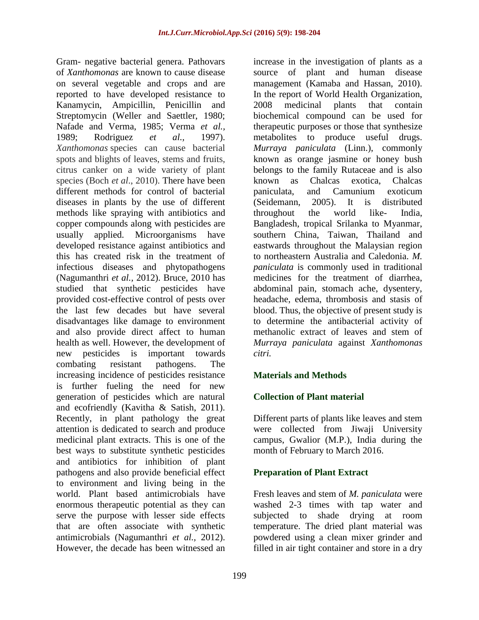Gram- negative bacterial genera. Pathovars of *Xanthomonas* are known to cause disease on several vegetable and crops and are reported to have developed resistance to Kanamycin, Ampicillin, Penicillin and Streptomycin (Weller and Saettler, 1980; Nafade and Verma, 1985; Verma *et al.,* 1989; Rodriguez *et al.,* 1997). *Xanthomonas* species can cause bacterial spots and blights of leaves, stems and fruits, citrus canker on a wide variety of plant species (Boch *et al*., 2010). There have been different methods for control of bacterial diseases in plants by the use of different methods like spraying with antibiotics and copper compounds along with pesticides are usually applied. Microorganisms have developed resistance against antibiotics and this has created risk in the treatment of infectious diseases and phytopathogens (Nagumanthri *et al.,* 2012). Bruce, 2010 has studied that synthetic pesticides have provided cost-effective control of pests over the last few decades but have several disadvantages like damage to environment and also provide direct affect to human health as well. However, the development of new pesticides is important towards combating resistant pathogens. The increasing incidence of pesticides resistance is further fueling the need for new generation of pesticides which are natural and ecofriendly (Kavitha & Satish, 2011). Recently, in plant pathology the great attention is dedicated to search and produce medicinal plant extracts. This is one of the best ways to substitute synthetic pesticides and antibiotics for inhibition of plant pathogens and also provide beneficial effect to environment and living being in the world. Plant based antimicrobials have enormous therapeutic potential as they can serve the purpose with lesser side effects that are often associate with synthetic antimicrobials (Nagumanthri *et al.,* 2012). However, the decade has been witnessed an

increase in the investigation of plants as a source of plant and human disease management (Kamaba and Hassan, 2010). In the report of World Health Organization, 2008 medicinal plants that contain biochemical compound can be used for therapeutic purposes or those that synthesize metabolites to produce useful drugs. *Murraya paniculata* (Linn.), commonly known as orange jasmine or honey bush belongs to the family Rutaceae and is also known as Chalcas exotica, Chalcas paniculata, and Camunium exoticum (Seidemann, 2005). It is distributed throughout the world like- India, Bangladesh, tropical Srilanka to Myanmar, southern China, Taiwan, Thailand and eastwards throughout the Malaysian region to northeastern Australia and Caledonia. *M. paniculata* is commonly used in traditional medicines for the treatment of diarrhea, abdominal pain, stomach ache, dysentery, headache, edema, thrombosis and stasis of blood. Thus, the objective of present study is to determine the antibacterial activity of methanolic extract of leaves and stem of *Murraya paniculata* against *Xanthomonas citri.*

# **Materials and Methods**

# **Collection of Plant material**

Different parts of plants like leaves and stem were collected from Jiwaji University campus, Gwalior (M.P.), India during the month of February to March 2016.

### **Preparation of Plant Extract**

Fresh leaves and stem of *M. paniculata* were washed 2-3 times with tap water and subjected to shade drying at room temperature. The dried plant material was powdered using a clean mixer grinder and filled in air tight container and store in a dry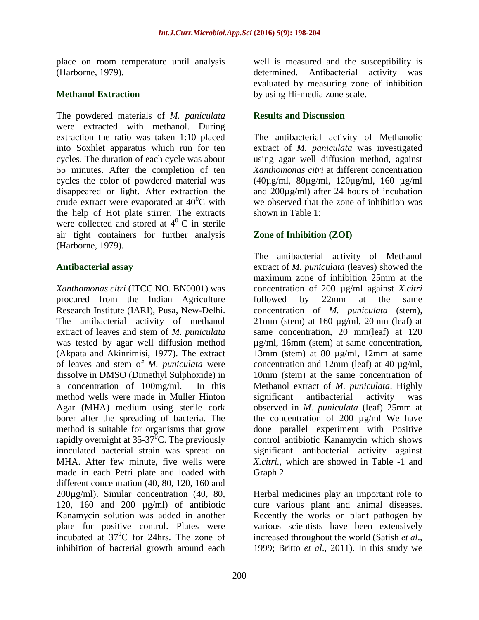place on room temperature until analysis (Harborne, 1979).

# **Methanol Extraction**

The powdered materials of *M. paniculata* were extracted with methanol. During extraction the ratio was taken 1:10 placed into Soxhlet apparatus which run for ten cycles. The duration of each cycle was about 55 minutes. After the completion of ten cycles the color of powdered material was disappeared or light. After extraction the crude extract were evaporated at  $40^{\circ}$ C with the help of Hot plate stirrer. The extracts were collected and stored at  $4^{\circ}$  C in sterile air tight containers for further analysis (Harborne, 1979).

# **Antibacterial assay**

*Xanthomonas citri* (ITCC NO. BN0001) was procured from the Indian Agriculture Research Institute (IARI), Pusa, New-Delhi. The antibacterial activity of methanol extract of leaves and stem of *M. puniculata* was tested by agar well diffusion method (Akpata and Akinrimisi, 1977). The extract of leaves and stem of *M. puniculata* were dissolve in DMSO (Dimethyl Sulphoxide) in a concentration of 100mg/ml. In this method wells were made in Muller Hinton Agar (MHA) medium using sterile cork borer after the spreading of bacteria. The method is suitable for organisms that grow rapidly overnight at  $35-37^0$ C. The previously inoculated bacterial strain was spread on MHA. After few minute, five wells were made in each Petri plate and loaded with different concentration (40, 80, 120, 160 and 200µg/ml). Similar concentration (40, 80, 120, 160 and 200 µg/ml) of antibiotic Kanamycin solution was added in another plate for positive control. Plates were incubated at  $37^0C$  for 24hrs. The zone of inhibition of bacterial growth around each

well is measured and the susceptibility is determined. Antibacterial activity was evaluated by measuring zone of inhibition by using Hi-media zone scale.

# **Results and Discussion**

The antibacterial activity of Methanolic extract of *M. paniculata* was investigated using agar well diffusion method, against *Xanthomonas citri* at different concentration (40µg/ml, 80µg/ml, 120µg/ml, 160 µg/ml and 200µg/ml) after 24 hours of incubation we observed that the zone of inhibition was shown in Table 1:

# **Zone of Inhibition (ZOI)**

The antibacterial activity of Methanol extract of *M. puniculata* (leaves) showed the maximum zone of inhibition 25mm at the concentration of 200 µg/ml against *X.citri*  followed by 22mm at the same concentration of *M. puniculata* (stem),  $21$ mm (stem) at  $160 \mu g/ml$ ,  $20$ mm (leaf) at same concentration, 20 mm(leaf) at 120 µg/ml, 16mm (stem) at same concentration, 13mm (stem) at 80 µg/ml, 12mm at same concentration and 12mm (leaf) at 40 µg/ml, 10mm (stem) at the same concentration of Methanol extract of *M. puniculata*. Highly significant antibacterial activity was observed in *M. puniculata* (leaf) 25mm at the concentration of 200 µg/ml We have done parallel experiment with Positive control antibiotic Kanamycin which shows significant antibacterial activity against *X.citri.,* which are showed in Table -1 and Graph 2.

Herbal medicines play an important role to cure various plant and animal diseases. Recently the works on plant pathogen by various scientists have been extensively increased throughout the world (Satish *et al*., 1999; Britto *et al*., 2011). In this study we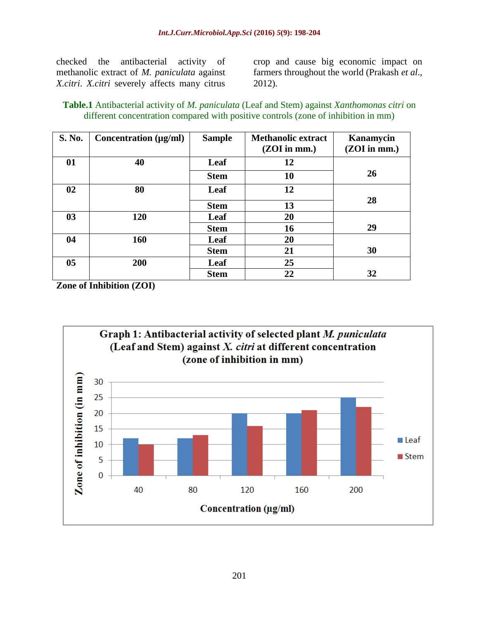checked the antibacterial activity of methanolic extract of *M. paniculata* against *X.citri*. *X.citri* severely affects many citrus

crop and cause big economic impact on farmers throughout the world (Prakash *et al*., 2012).

**Table.1** Antibacterial activity of *M. paniculata* (Leaf and Stem) against *Xanthomonas citri* on different concentration compared with positive controls (zone of inhibition in mm)

| <b>S. No.</b>  | Concentration $(\mu g/ml)$ | <b>Sample</b> | <b>Methanolic extract</b><br>$(ZOI$ in mm.) | Kanamycin<br>(ZOI in mm.) |
|----------------|----------------------------|---------------|---------------------------------------------|---------------------------|
| 01             | 40                         | Leaf          | 12                                          |                           |
|                |                            | <b>Stem</b>   | 10                                          | 26                        |
| 02             | 80                         | Leaf          | 12                                          |                           |
|                |                            | <b>Stem</b>   | 13                                          | 28                        |
| 0 <sub>3</sub> | 120                        | Leaf          | 20                                          |                           |
|                |                            | <b>Stem</b>   | 16                                          | 29                        |
| 04             | 160                        | Leaf          | 20                                          |                           |
|                |                            | <b>Stem</b>   | 21                                          | 30                        |
| 0 <sub>5</sub> | 200                        | Leaf          | 25                                          |                           |
|                |                            | <b>Stem</b>   | 22                                          | 32                        |

**Zone of Inhibition (ZOI)**

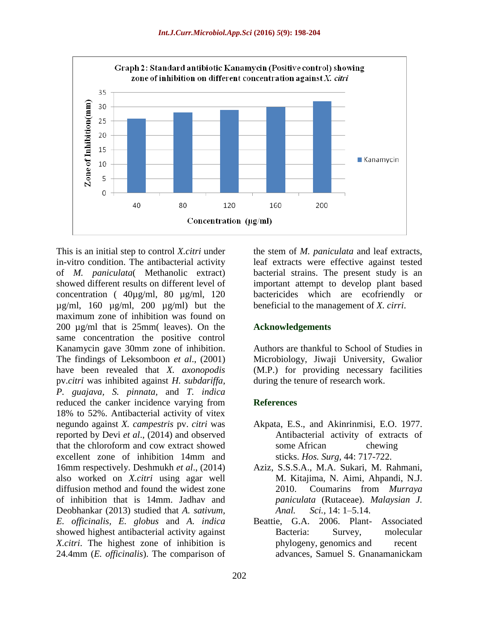

This is an initial step to control *X.citri* under in-vitro condition. The antibacterial activity of *M. paniculata*( Methanolic extract) showed different results on different level of concentration ( 40µg/ml, 80 µg/ml, 120  $\mu$ g/ml, 160  $\mu$ g/ml, 200  $\mu$ g/ml) but the maximum zone of inhibition was found on 200 µg/ml that is 25mm( leaves). On the same concentration the positive control Kanamycin gave 30mm zone of inhibition. The findings of Leksomboon *et al*., (2001) have been revealed that *X. axonopodis* pv.*citri* was inhibited against *H. subdariffa, P. guajava, S. pinnata,* and *T. indica* reduced the canker incidence varying from 18% to 52%. Antibacterial activity of vitex negundo against *X. campestris* pv. *citri* was reported by Devi *et al*., (2014) and observed that the chloroform and cow extract showed excellent zone of inhibition 14mm and 16mm respectively. Deshmukh *et al*., (2014) also worked on *X.citri* using agar well diffusion method and found the widest zone of inhibition that is 14mm. Jadhav and Deobhankar (2013) studied that *A. sativum, E. officinalis, E. globus* and *A. indica*  showed highest antibacterial activity against *X.citri*. The highest zone of inhibition is 24.4mm (*E. officinalis*). The comparison of

the stem of *M. paniculata* and leaf extracts, leaf extracts were effective against tested bacterial strains. The present study is an important attempt to develop plant based bactericides which are ecofriendly or beneficial to the management of *X. cirri*.

# **Acknowledgements**

Authors are thankful to School of Studies in Microbiology, Jiwaji University, Gwalior (M.P.) for providing necessary facilities during the tenure of research work.

# **References**

- Akpata, E.S., and Akinrinmisi, E.O. 1977. Antibacterial activity of extracts of some African chewing sticks. *Hos. Surg,* 44: 717-722.
- Aziz, S.S.S.A., M.A. Sukari, M. Rahmani, M. Kitajima, N. Aimi, Ahpandi, N.J. 2010. Coumarins from *Murraya paniculata* (Rutaceae). *Malaysian J. Anal. Sci.,* 14: 1–5.14.
- Beattie, G.A. 2006. Plant- Associated Bacteria: Survey, molecular phylogeny, genomics and recent advances, Samuel S. Gnanamanickam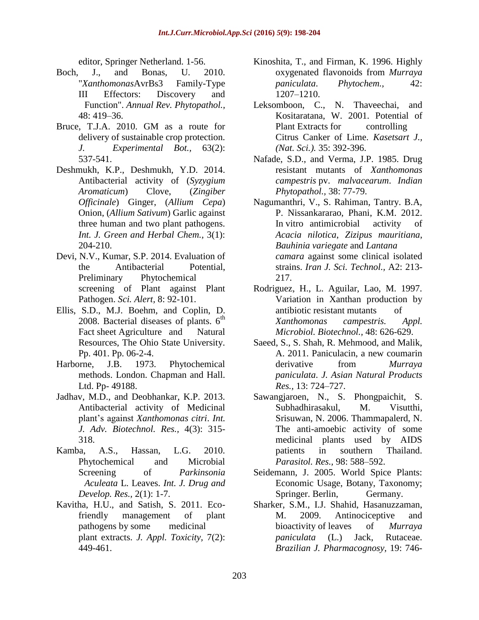editor, Springer Netherland. 1-56.

- Boch, J., and Bonas, U. 2010. "*Xanthomonas*AvrBs3 Family-Type III Effectors: Discovery and Function". *Annual Rev. Phytopathol.,* 48: 419–36.
- Bruce, T.J.A. 2010. GM as a route for delivery of sustainable crop protection. *J. Experimental Bot.,* 63(2): 537-541.
- Deshmukh, K.P., Deshmukh, Y.D. 2014. Antibacterial activity of (*Syzygium Aromaticum*) Clove, (*Zingiber Officinale*) Ginger, (*Allium Cepa*) Onion, (*Allium Sativum*) Garlic against three human and two plant pathogens. *Int. J. Green and Herbal Chem.,* 3(1): 204-210.
- Devi, N.V., Kumar, S.P. 2014. Evaluation of the Antibacterial Potential, Preliminary Phytochemical screening of Plant against Plant Pathogen. *Sci. Alert,* 8: 92-101.
- Ellis, S.D., M.J. Boehm, and Coplin, D. 2008. Bacterial diseases of plants.  $6<sup>th</sup>$ Fact sheet Agriculture and Natural Resources, The Ohio State University. Pp. 401. Pp. 06-2-4.
- Harborne, J.B. 1973. Phytochemical methods. London. Chapman and Hall. Ltd. Pp- 49188.
- Jadhav, M.D., and Deobhankar, K.P. 2013. Antibacterial activity of Medicinal plant's against *Xanthomonas citri*. *Int. J. Adv. Biotechnol. Res.,* 4(3): 315- 318.
- Kamba, A.S., Hassan, L.G. 2010. Phytochemical and Microbial Screening of *Parkinsonia Aculeata* L. Leaves. *Int. J. [Drug](http://ijddr.in/archive.php) and [Develop.](http://ijddr.in/archive.php) Res.,* 2(1): 1-7.
- Kavitha, H.U., and Satish, S. 2011. Ecofriendly management of plant pathogens by some medicinal plant extracts. *J. Appl. Toxicity,* 7(2): 449-461.
- Kinoshita, T., and Firman, K. 1996. Highly oxygenated flavonoids from *Murraya paniculata*. *Phytochem.,* 42: 1207–1210.
- Leksomboon, C., N. Thaveechai, and Kositaratana, W. 2001. Potential of Plant Extracts for controlling Citrus Canker of Lime. *Kasetsart J., (Nat. Sci.).* 35: 392-396.
- Nafade, S.D., and Verma, J.P. 1985. Drug resistant mutants of *Xanthomonas campestris* pv. *malvacearum*. *Indian Phytopathol.,* 38: 77-79.
- Nagumanthri, V., S. Rahiman, Tantry. B.A, P. Nissankararao, Phani, K.M. 2012. In vitro antimicrobial activity of *Acacia nilotica*, *Zizipus mauritiana*, *Bauhinia variegate* and *Lantana camara* against some clinical isolated strains. *Iran J. Sci. Technol.,* A2: 213- 217.
- Rodriguez, H., L. Aguilar, Lao, M. 1997. Variation in Xanthan production by antibiotic resistant mutants of *Xanthomonas campestris. Appl. Microbiol. Biotechnol.,* 48: 626-629.
- Saeed, S., S. Shah, R. Mehmood, and Malik. A. 2011. Paniculacin, a new coumarin derivative from *Murraya paniculata*. *J. Asian Natural Products Res.,* 13: 724–727.
- Sawangjaroen, N., S. Phongpaichit, S. Subhadhirasakul, M. Visutthi, Srisuwan, N. 2006. Thammapalerd, N. The anti-amoebic activity of some medicinal plants used by AIDS patients in southern Thailand. *Parasitol. Res.,* 98: 588–592.
- Seidemann, J. 2005. World Spice Plants: Economic Usage, Botany, Taxonomy; Springer. Berlin, Germany.
- Sharker, S.M., I.J. Shahid, Hasanuzzaman, M. 2009. Antinociceptive and bioactivity of leaves of *Murraya paniculata* (L.) Jack, Rutaceae. *Brazilian J. Pharmacognosy,* 19: 746-